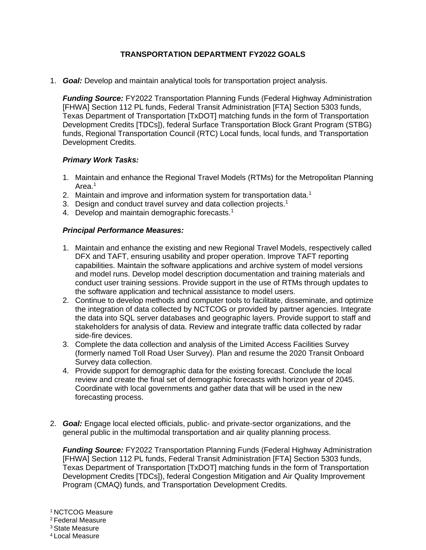## **TRANSPORTATION DEPARTMENT FY2022 GOALS**

1. *Goal:* Develop and maintain analytical tools for transportation project analysis.

*Funding Source:* FY2022 Transportation Planning Funds (Federal Highway Administration [FHWA] Section 112 PL funds, Federal Transit Administration [FTA] Section 5303 funds, Texas Department of Transportation [TxDOT] matching funds in the form of Transportation Development Credits [TDCs]), federal Surface Transportation Block Grant Program (STBG) funds, Regional Transportation Council (RTC) Local funds, local funds, and Transportation Development Credits.

### *Primary Work Tasks:*

- 1. Maintain and enhance the Regional Travel Models (RTMs) for the Metropolitan Planning Area.<sup>1</sup>
- 2. Maintain and improve and information system for transportation data.<sup>1</sup>
- 3. Design and conduct travel survey and data collection projects.<sup>1</sup>
- 4. Develop and maintain demographic forecasts.<sup>1</sup>

#### *Principal Performance Measures:*

- 1. Maintain and enhance the existing and new Regional Travel Models, respectively called DFX and TAFT, ensuring usability and proper operation. Improve TAFT reporting capabilities. Maintain the software applications and archive system of model versions and model runs. Develop model description documentation and training materials and conduct user training sessions. Provide support in the use of RTMs through updates to the software application and technical assistance to model users.
- 2. Continue to develop methods and computer tools to facilitate, disseminate, and optimize the integration of data collected by NCTCOG or provided by partner agencies. Integrate the data into SQL server databases and geographic layers. Provide support to staff and stakeholders for analysis of data. Review and integrate traffic data collected by radar side-fire devices.
- 3. Complete the data collection and analysis of the Limited Access Facilities Survey (formerly named Toll Road User Survey). Plan and resume the 2020 Transit Onboard Survey data collection.
- 4. Provide support for demographic data for the existing forecast. Conclude the local review and create the final set of demographic forecasts with horizon year of 2045. Coordinate with local governments and gather data that will be used in the new forecasting process.
- 2. *Goal:* Engage local elected officials, public- and private-sector organizations, and the general public in the multimodal transportation and air quality planning process.

*Funding Source:* FY2022 Transportation Planning Funds (Federal Highway Administration [FHWA] Section 112 PL funds, Federal Transit Administration [FTA] Section 5303 funds, Texas Department of Transportation [TxDOT] matching funds in the form of Transportation Development Credits [TDCs]), federal Congestion Mitigation and Air Quality Improvement Program (CMAQ) funds, and Transportation Development Credits.

<sup>1</sup> NCTCOG Measure

<sup>2</sup> Federal Measure

<sup>3</sup> State Measure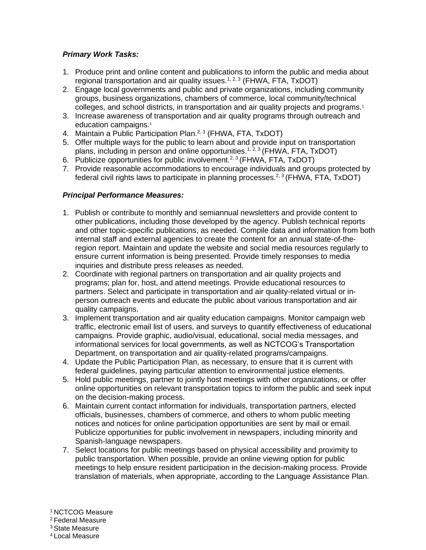## *Primary Work Tasks:*

- 1. Produce print and online content and publications to inform the public and media about regional transportation and air quality issues.<sup>1, 2, 3</sup> (FHWA, FTA, TxDOT)
- 2. Engage local governments and public and private organizations, including community groups, business organizations, chambers of commerce, local community/technical colleges, and school districts, in transportation and air quality projects and programs.<sup>1</sup>
- 3. Increase awareness of transportation and air quality programs through outreach and education campaigns.<sup>1</sup>
- 4. Maintain a Public Participation Plan.<sup>2, 3</sup> (FHWA, FTA, TxDOT)
- 5. Offer multiple ways for the public to learn about and provide input on transportation plans, including in person and online opportunities.<sup>1, 2, 3</sup> (FHWA, FTA, TxDOT)
- 6. Publicize opportunities for public involvement.<sup>2, 3</sup> (FHWA, FTA, TxDOT)
- 7. Provide reasonable accommodations to encourage individuals and groups protected by federal civil rights laws to participate in planning processes.<sup>2, 3</sup> (FHWA, FTA, TxDOT)

### *Principal Performance Measures:*

- 1. Publish or contribute to monthly and semiannual newsletters and provide content to other publications, including those developed by the agency. Publish technical reports and other topic-specific publications, as needed. Compile data and information from both internal staff and external agencies to create the content for an annual state-of-theregion report. Maintain and update the website and social media resources regularly to ensure current information is being presented. Provide timely responses to media inquiries and distribute press releases as needed.
- 2. Coordinate with regional partners on transportation and air quality projects and programs; plan for, host, and attend meetings. Provide educational resources to partners. Select and participate in transportation and air quality-related virtual or inperson outreach events and educate the public about various transportation and air quality campaigns.
- 3. Implement transportation and air quality education campaigns. Monitor campaign web traffic, electronic email list of users, and surveys to quantify effectiveness of educational campaigns. Provide graphic, audio/visual, educational, social media messages, and informational services for local governments, as well as NCTCOG's Transportation Department, on transportation and air quality-related programs/campaigns.
- 4. Update the Public Participation Plan, as necessary, to ensure that it is current with federal guidelines, paying particular attention to environmental justice elements.
- 5. Hold public meetings, partner to jointly host meetings with other organizations, or offer online opportunities on relevant transportation topics to inform the public and seek input on the decision-making process.
- 6. Maintain current contact information for individuals, transportation partners, elected officials, businesses, chambers of commerce, and others to whom public meeting notices and notices for online participation opportunities are sent by mail or email. Publicize opportunities for public involvement in newspapers, including minority and Spanish-language newspapers.
- 7. Select locations for public meetings based on physical accessibility and proximity to public transportation. When possible, provide an online viewing option for public meetings to help ensure resident participation in the decision-making process. Provide translation of materials, when appropriate, according to the Language Assistance Plan.

<sup>1</sup> NCTCOG Measure

<sup>2</sup> Federal Measure

<sup>3</sup> State Measure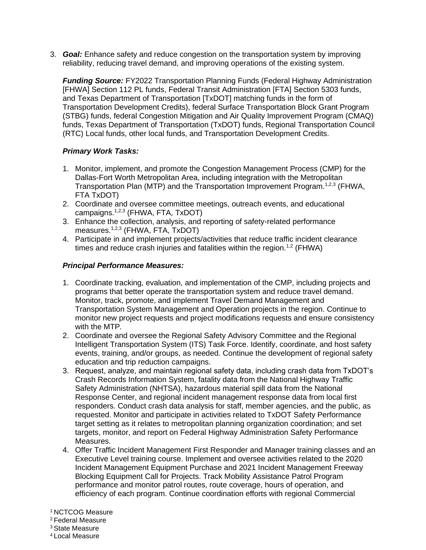3. *Goal:* Enhance safety and reduce congestion on the transportation system by improving reliability, reducing travel demand, and improving operations of the existing system.

*Funding Source:* FY2022 Transportation Planning Funds (Federal Highway Administration [FHWA] Section 112 PL funds, Federal Transit Administration [FTA] Section 5303 funds, and Texas Department of Transportation [TxDOT] matching funds in the form of Transportation Development Credits), federal Surface Transportation Block Grant Program (STBG) funds, federal Congestion Mitigation and Air Quality Improvement Program (CMAQ) funds, Texas Department of Transportation (TxDOT) funds, Regional Transportation Council (RTC) Local funds, other local funds, and Transportation Development Credits.

# *Primary Work Tasks:*

- 1. Monitor, implement, and promote the Congestion Management Process (CMP) for the Dallas-Fort Worth Metropolitan Area, including integration with the Metropolitan Transportation Plan (MTP) and the Transportation Improvement Program.<sup>1,2,3</sup> (FHWA, FTA TxDOT)
- 2. Coordinate and oversee committee meetings, outreach events, and educational campaigns.1,2,3 (FHWA, FTA, TxDOT)
- 3. Enhance the collection, analysis, and reporting of safety-related performance measures.1,2,3 (FHWA, FTA, TxDOT)
- 4. Participate in and implement projects/activities that reduce traffic incident clearance times and reduce crash injuries and fatalities within the region.<sup>1,2</sup> (FHWA)

## *Principal Performance Measures:*

- 1. Coordinate tracking, evaluation, and implementation of the CMP, including projects and programs that better operate the transportation system and reduce travel demand. Monitor, track, promote, and implement Travel Demand Management and Transportation System Management and Operation projects in the region. Continue to monitor new project requests and project modifications requests and ensure consistency with the MTP.
- 2. Coordinate and oversee the Regional Safety Advisory Committee and the Regional Intelligent Transportation System (ITS) Task Force. Identify, coordinate, and host safety events, training, and/or groups, as needed. Continue the development of regional safety education and trip reduction campaigns.
- 3. Request, analyze, and maintain regional safety data, including crash data from TxDOT's Crash Records Information System, fatality data from the National Highway Traffic Safety Administration (NHTSA), hazardous material spill data from the National Response Center, and regional incident management response data from local first responders. Conduct crash data analysis for staff, member agencies, and the public, as requested. Monitor and participate in activities related to TxDOT Safety Performance target setting as it relates to metropolitan planning organization coordination; and set targets, monitor, and report on Federal Highway Administration Safety Performance Measures.
- 4. Offer Traffic Incident Management First Responder and Manager training classes and an Executive Level training course. Implement and oversee activities related to the 2020 Incident Management Equipment Purchase and 2021 Incident Management Freeway Blocking Equipment Call for Projects. Track Mobility Assistance Patrol Program performance and monitor patrol routes, route coverage, hours of operation, and efficiency of each program. Continue coordination efforts with regional Commercial

<sup>2</sup> Federal Measure

<sup>3</sup> State Measure

<sup>1</sup> NCTCOG Measure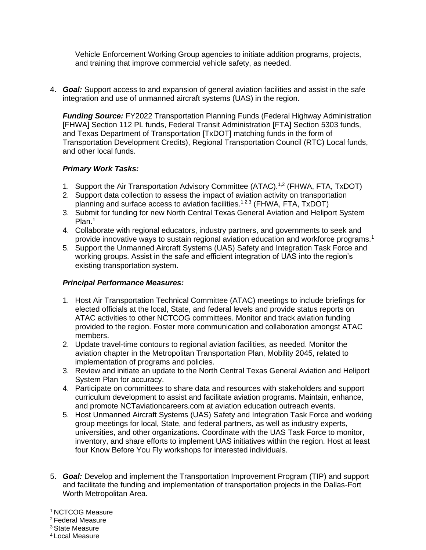Vehicle Enforcement Working Group agencies to initiate addition programs, projects, and training that improve commercial vehicle safety, as needed.

4. *Goal:* Support access to and expansion of general aviation facilities and assist in the safe integration and use of unmanned aircraft systems (UAS) in the region.

*Funding Source:* FY2022 Transportation Planning Funds (Federal Highway Administration [FHWA] Section 112 PL funds, Federal Transit Administration [FTA] Section 5303 funds, and Texas Department of Transportation [TxDOT] matching funds in the form of Transportation Development Credits), Regional Transportation Council (RTC) Local funds, and other local funds.

## *Primary Work Tasks:*

- 1. Support the Air Transportation Advisory Committee (ATAC).<sup>1,2</sup> (FHWA, FTA, TxDOT)
- 2. Support data collection to assess the impact of aviation activity on transportation planning and surface access to aviation facilities.<sup>1,2,3</sup> (FHWA, FTA, TxDOT)
- 3. Submit for funding for new North Central Texas General Aviation and Heliport System Plan.<sup>1</sup>
- 4. Collaborate with regional educators, industry partners, and governments to seek and provide innovative ways to sustain regional aviation education and workforce programs.<sup>1</sup>
- 5. Support the Unmanned Aircraft Systems (UAS) Safety and Integration Task Force and working groups. Assist in the safe and efficient integration of UAS into the region's existing transportation system.

### *Principal Performance Measures:*

- 1. Host Air Transportation Technical Committee (ATAC) meetings to include briefings for elected officials at the local, State, and federal levels and provide status reports on ATAC activities to other NCTCOG committees. Monitor and track aviation funding provided to the region. Foster more communication and collaboration amongst ATAC members.
- 2. Update travel-time contours to regional aviation facilities, as needed. Monitor the aviation chapter in the Metropolitan Transportation Plan, Mobility 2045, related to implementation of programs and policies.
- 3. Review and initiate an update to the North Central Texas General Aviation and Heliport System Plan for accuracy.
- 4. Participate on committees to share data and resources with stakeholders and support curriculum development to assist and facilitate aviation programs. Maintain, enhance, and promote NCTaviationcareers.com at aviation education outreach events.
- 5. Host Unmanned Aircraft Systems (UAS) Safety and Integration Task Force and working group meetings for local, State, and federal partners, as well as industry experts, universities, and other organizations. Coordinate with the UAS Task Force to monitor, inventory, and share efforts to implement UAS initiatives within the region. Host at least four Know Before You Fly workshops for interested individuals.
- 5. *Goal:* Develop and implement the Transportation Improvement Program (TIP) and support and facilitate the funding and implementation of transportation projects in the Dallas-Fort Worth Metropolitan Area.

<sup>1</sup> NCTCOG Measure

<sup>2</sup> Federal Measure

<sup>3</sup> State Measure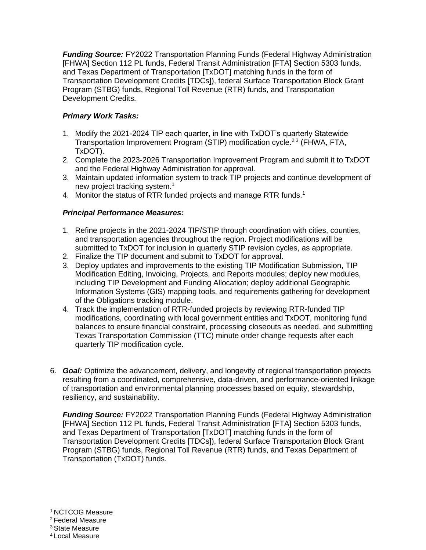*Funding Source:* FY2022 Transportation Planning Funds (Federal Highway Administration [FHWA] Section 112 PL funds, Federal Transit Administration [FTA] Section 5303 funds, and Texas Department of Transportation [TxDOT] matching funds in the form of Transportation Development Credits [TDCs]), federal Surface Transportation Block Grant Program (STBG) funds, Regional Toll Revenue (RTR) funds, and Transportation Development Credits.

# *Primary Work Tasks:*

- 1. Modify the 2021-2024 TIP each quarter, in line with TxDOT's quarterly Statewide Transportation Improvement Program (STIP) modification cycle.<sup>2,3</sup> (FHWA, FTA, TxDOT).
- 2. Complete the 2023-2026 Transportation Improvement Program and submit it to TxDOT and the Federal Highway Administration for approval.
- 3. Maintain updated information system to track TIP projects and continue development of new project tracking system.<sup>1</sup>
- 4. Monitor the status of RTR funded projects and manage RTR funds.<sup>1</sup>

# *Principal Performance Measures:*

- 1. Refine projects in the 2021-2024 TIP/STIP through coordination with cities, counties, and transportation agencies throughout the region. Project modifications will be submitted to TxDOT for inclusion in quarterly STIP revision cycles, as appropriate.
- 2. Finalize the TIP document and submit to TxDOT for approval.
- 3. Deploy updates and improvements to the existing TIP Modification Submission, TIP Modification Editing, Invoicing, Projects, and Reports modules; deploy new modules, including TIP Development and Funding Allocation; deploy additional Geographic Information Systems (GIS) mapping tools, and requirements gathering for development of the Obligations tracking module.
- 4. Track the implementation of RTR-funded projects by reviewing RTR-funded TIP modifications, coordinating with local government entities and TxDOT, monitoring fund balances to ensure financial constraint, processing closeouts as needed, and submitting Texas Transportation Commission (TTC) minute order change requests after each quarterly TIP modification cycle.
- 6. *Goal:* Optimize the advancement, delivery, and longevity of regional transportation projects resulting from a coordinated, comprehensive, data-driven, and performance-oriented linkage of transportation and environmental planning processes based on equity, stewardship, resiliency, and sustainability.

*Funding Source:* FY2022 Transportation Planning Funds (Federal Highway Administration [FHWA] Section 112 PL funds, Federal Transit Administration [FTA] Section 5303 funds, and Texas Department of Transportation [TxDOT] matching funds in the form of Transportation Development Credits [TDCs]), federal Surface Transportation Block Grant Program (STBG) funds, Regional Toll Revenue (RTR) funds, and Texas Department of Transportation (TxDOT) funds.

 NCTCOG Measure Federal Measure State Measure Local Measure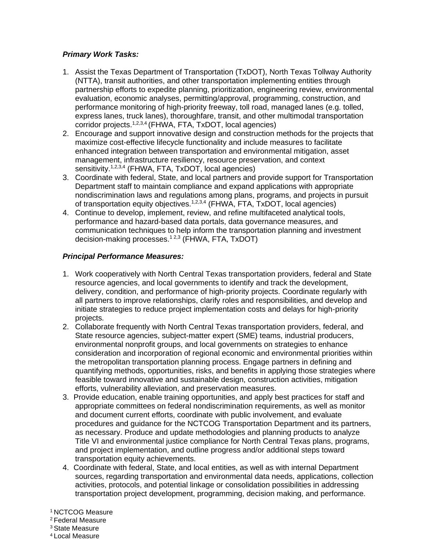## *Primary Work Tasks:*

- 1. Assist the Texas Department of Transportation (TxDOT), North Texas Tollway Authority (NTTA), transit authorities, and other transportation implementing entities through partnership efforts to expedite planning, prioritization, engineering review, environmental evaluation, economic analyses, permitting/approval, programming, construction, and performance monitoring of high-priority freeway, toll road, managed lanes (e.g. tolled, express lanes, truck lanes), thoroughfare, transit, and other multimodal transportation corridor projects.<sup>1,2,3,4</sup> (FHWA, FTA, TxDOT, local agencies)
- 2. Encourage and support innovative design and construction methods for the projects that maximize cost-effective lifecycle functionality and include measures to facilitate enhanced integration between transportation and environmental mitigation, asset management, infrastructure resiliency, resource preservation, and context sensitivity.<sup>1,2,3,4</sup> (FHWA, FTA, TxDOT, local agencies)
- 3. Coordinate with federal, State, and local partners and provide support for Transportation Department staff to maintain compliance and expand applications with appropriate nondiscrimination laws and regulations among plans, programs, and projects in pursuit of transportation equity objectives.1,2,3,4 (FHWA, FTA, TxDOT, local agencies)
- 4. Continue to develop, implement, review, and refine multifaceted analytical tools, performance and hazard-based data portals, data governance measures, and communication techniques to help inform the transportation planning and investment decision-making processes.<sup>12,3</sup> (FHWA, FTA, TxDOT)

### *Principal Performance Measures:*

- 1. Work cooperatively with North Central Texas transportation providers, federal and State resource agencies, and local governments to identify and track the development, delivery, condition, and performance of high-priority projects. Coordinate regularly with all partners to improve relationships, clarify roles and responsibilities, and develop and initiate strategies to reduce project implementation costs and delays for high-priority projects.
- 2. Collaborate frequently with North Central Texas transportation providers, federal, and State resource agencies, subject-matter expert (SME) teams, industrial producers, environmental nonprofit groups, and local governments on strategies to enhance consideration and incorporation of regional economic and environmental priorities within the metropolitan transportation planning process. Engage partners in defining and quantifying methods, opportunities, risks, and benefits in applying those strategies where feasible toward innovative and sustainable design, construction activities, mitigation efforts, vulnerability alleviation, and preservation measures.
- 3. Provide education, enable training opportunities, and apply best practices for staff and appropriate committees on federal nondiscrimination requirements, as well as monitor and document current efforts, coordinate with public involvement, and evaluate procedures and guidance for the NCTCOG Transportation Department and its partners, as necessary. Produce and update methodologies and planning products to analyze Title VI and environmental justice compliance for North Central Texas plans, programs, and project implementation, and outline progress and/or additional steps toward transportation equity achievements.
- 4. Coordinate with federal, State, and local entities, as well as with internal Department sources, regarding transportation and environmental data needs, applications, collection activities, protocols, and potential linkage or consolidation possibilities in addressing transportation project development, programming, decision making, and performance.

<sup>1</sup> NCTCOG Measure

<sup>2</sup> Federal Measure

<sup>3</sup> State Measure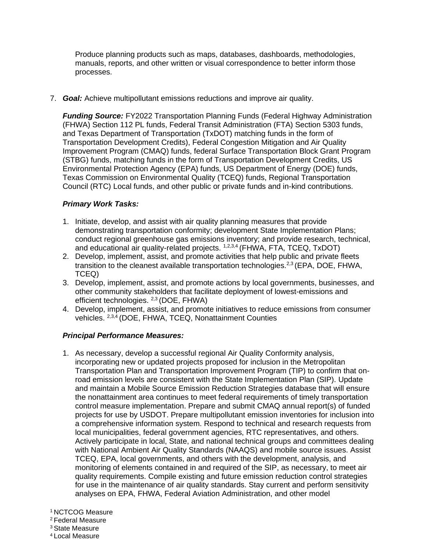Produce planning products such as maps, databases, dashboards, methodologies, manuals, reports, and other written or visual correspondence to better inform those processes.

7. *Goal:* Achieve multipollutant emissions reductions and improve air quality.

*Funding Source:* FY2022 Transportation Planning Funds (Federal Highway Administration (FHWA) Section 112 PL funds, Federal Transit Administration (FTA) Section 5303 funds, and Texas Department of Transportation (TxDOT) matching funds in the form of Transportation Development Credits), Federal Congestion Mitigation and Air Quality Improvement Program (CMAQ) funds, federal Surface Transportation Block Grant Program (STBG) funds, matching funds in the form of Transportation Development Credits, US Environmental Protection Agency (EPA) funds, US Department of Energy (DOE) funds, Texas Commission on Environmental Quality (TCEQ) funds, Regional Transportation Council (RTC) Local funds, and other public or private funds and in-kind contributions.

## *Primary Work Tasks:*

- 1. Initiate, develop, and assist with air quality planning measures that provide demonstrating transportation conformity; development State Implementation Plans; conduct regional greenhouse gas emissions inventory; and provide research, technical, and educational air quality-related projects. <sup>1,2,3,4</sup> (FHWA, FTA, TCEQ, TxDOT)
- 2. Develop, implement, assist, and promote activities that help public and private fleets transition to the cleanest available transportation technologies.<sup>2,3</sup> (EPA, DOE, FHWA, TCEQ)
- 3. Develop, implement, assist, and promote actions by local governments, businesses, and other community stakeholders that facilitate deployment of lowest-emissions and efficient technologies. <sup>2,3</sup> (DOE, FHWA)
- 4. Develop, implement, assist, and promote initiatives to reduce emissions from consumer vehicles. 2,3,4 (DOE, FHWA, TCEQ, Nonattainment Counties

### *Principal Performance Measures:*

1. As necessary, develop a successful regional Air Quality Conformity analysis, incorporating new or updated projects proposed for inclusion in the Metropolitan Transportation Plan and Transportation Improvement Program (TIP) to confirm that onroad emission levels are consistent with the State Implementation Plan (SIP). Update and maintain a Mobile Source Emission Reduction Strategies database that will ensure the nonattainment area continues to meet federal requirements of timely transportation control measure implementation. Prepare and submit CMAQ annual report(s) of funded projects for use by USDOT. Prepare multipollutant emission inventories for inclusion into a comprehensive information system. Respond to technical and research requests from local municipalities, federal government agencies, RTC representatives, and others. Actively participate in local, State, and national technical groups and committees dealing with National Ambient Air Quality Standards (NAAQS) and mobile source issues. Assist TCEQ, EPA, local governments, and others with the development, analysis, and monitoring of elements contained in and required of the SIP, as necessary, to meet air quality requirements. Compile existing and future emission reduction control strategies for use in the maintenance of air quality standards. Stay current and perform sensitivity analyses on EPA, FHWA, Federal Aviation Administration, and other model

<sup>1</sup> NCTCOG Measure

<sup>2</sup> Federal Measure

<sup>3</sup> State Measure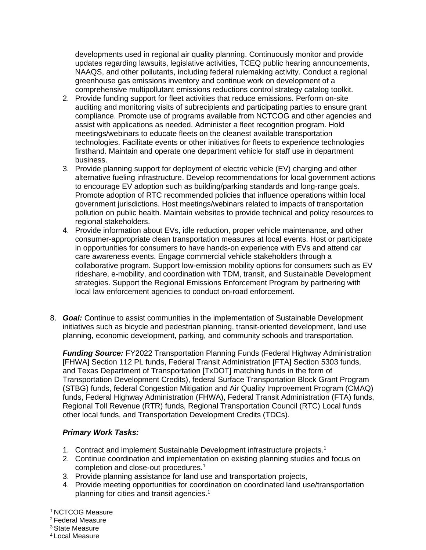developments used in regional air quality planning. Continuously monitor and provide updates regarding lawsuits, legislative activities, TCEQ public hearing announcements, NAAQS, and other pollutants, including federal rulemaking activity. Conduct a regional greenhouse gas emissions inventory and continue work on development of a comprehensive multipollutant emissions reductions control strategy catalog toolkit.

- 2. Provide funding support for fleet activities that reduce emissions. Perform on-site auditing and monitoring visits of subrecipients and participating parties to ensure grant compliance. Promote use of programs available from NCTCOG and other agencies and assist with applications as needed. Administer a fleet recognition program. Hold meetings/webinars to educate fleets on the cleanest available transportation technologies. Facilitate events or other initiatives for fleets to experience technologies firsthand. Maintain and operate one department vehicle for staff use in department business.
- 3. Provide planning support for deployment of electric vehicle (EV) charging and other alternative fueling infrastructure. Develop recommendations for local government actions to encourage EV adoption such as building/parking standards and long-range goals. Promote adoption of RTC recommended policies that influence operations within local government jurisdictions. Host meetings/webinars related to impacts of transportation pollution on public health. Maintain websites to provide technical and policy resources to regional stakeholders.
- 4. Provide information about EVs, idle reduction, proper vehicle maintenance, and other consumer-appropriate clean transportation measures at local events. Host or participate in opportunities for consumers to have hands-on experience with EVs and attend car care awareness events. Engage commercial vehicle stakeholders through a collaborative program. Support low-emission mobility options for consumers such as EV rideshare, e-mobility, and coordination with TDM, transit, and Sustainable Development strategies. Support the Regional Emissions Enforcement Program by partnering with local law enforcement agencies to conduct on-road enforcement.
- 8. *Goal:* Continue to assist communities in the implementation of Sustainable Development initiatives such as bicycle and pedestrian planning, transit-oriented development, land use planning, economic development, parking, and community schools and transportation.

*Funding Source:* FY2022 Transportation Planning Funds (Federal Highway Administration [FHWA] Section 112 PL funds, Federal Transit Administration [FTA] Section 5303 funds, and Texas Department of Transportation [TxDOT] matching funds in the form of Transportation Development Credits), federal Surface Transportation Block Grant Program (STBG) funds, federal Congestion Mitigation and Air Quality Improvement Program (CMAQ) funds, Federal Highway Administration (FHWA), Federal Transit Administration (FTA) funds, Regional Toll Revenue (RTR) funds, Regional Transportation Council (RTC) Local funds other local funds, and Transportation Development Credits (TDCs).

### *Primary Work Tasks:*

- 1. Contract and implement Sustainable Development infrastructure projects.<sup>1</sup>
- 2. Continue coordination and implementation on existing planning studies and focus on completion and close-out procedures.<sup>1</sup>
- 3. Provide planning assistance for land use and transportation projects,
- 4. Provide meeting opportunities for coordination on coordinated land use/transportation planning for cities and transit agencies.<sup>1</sup>

<sup>1</sup> NCTCOG Measure

<sup>2</sup> Federal Measure

<sup>3</sup> State Measure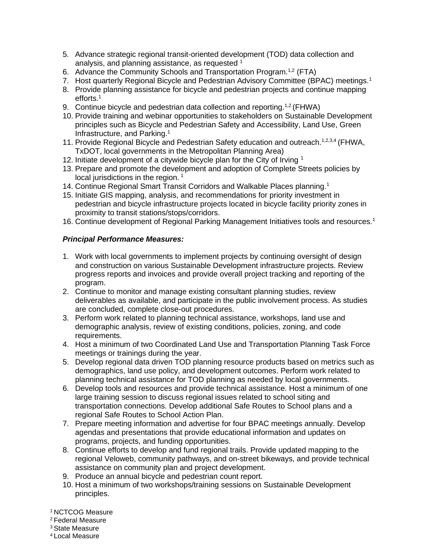- 5. Advance strategic regional transit-oriented development (TOD) data collection and analysis, and planning assistance, as requested <sup>1</sup>
- 6. Advance the Community Schools and Transportation Program.<sup>1,2</sup> (FTA)
- 7. Host quarterly Regional Bicycle and Pedestrian Advisory Committee (BPAC) meetings.<sup>1</sup>
- 8. Provide planning assistance for bicycle and pedestrian projects and continue mapping efforts.<sup>1</sup>
- 9. Continue bicycle and pedestrian data collection and reporting.<sup>1,2</sup> (FHWA)
- 10. Provide training and webinar opportunities to stakeholders on Sustainable Development principles such as Bicycle and Pedestrian Safety and Accessibility, Land Use, Green Infrastructure, and Parking. 1
- 11. Provide Regional Bicycle and Pedestrian Safety education and outreach.<sup>1,2,3,4</sup> (FHWA, TxDOT, local governments in the Metropolitan Planning Area)
- 12. Initiate development of a citywide bicycle plan for the City of Irving <sup>1</sup>
- 13. Prepare and promote the development and adoption of Complete Streets policies by local jurisdictions in the region.  $1$
- 14. Continue Regional Smart Transit Corridors and Walkable Places planning.<sup>1</sup>
- 15. Initiate GIS mapping, analysis, and recommendations for priority investment in pedestrian and bicycle infrastructure projects located in bicycle facility priority zones in proximity to transit stations/stops/corridors.
- 16. Continue development of Regional Parking Management Initiatives tools and resources.<sup>1</sup>

#### *Principal Performance Measures:*

- 1. Work with local governments to implement projects by continuing oversight of design and construction on various Sustainable Development infrastructure projects. Review progress reports and invoices and provide overall project tracking and reporting of the program.
- 2. Continue to monitor and manage existing consultant planning studies, review deliverables as available, and participate in the public involvement process. As studies are concluded, complete close-out procedures.
- 3. Perform work related to planning technical assistance, workshops, land use and demographic analysis, review of existing conditions, policies, zoning, and code requirements.
- 4. Host a minimum of two Coordinated Land Use and Transportation Planning Task Force meetings or trainings during the year.
- 5. Develop regional data driven TOD planning resource products based on metrics such as demographics, land use policy, and development outcomes. Perform work related to planning technical assistance for TOD planning as needed by local governments.
- 6. Develop tools and resources and provide technical assistance. Host a minimum of one large training session to discuss regional issues related to school siting and transportation connections. Develop additional Safe Routes to School plans and a regional Safe Routes to School Action Plan.
- 7. Prepare meeting information and advertise for four BPAC meetings annually. Develop agendas and presentations that provide educational information and updates on programs, projects, and funding opportunities.
- 8. Continue efforts to develop and fund regional trails. Provide updated mapping to the regional Veloweb, community pathways, and on-street bikeways, and provide technical assistance on community plan and project development.
- 9. Produce an annual bicycle and pedestrian count report.
- 10. Host a minimum of two workshops/training sessions on Sustainable Development principles.

<sup>1</sup> NCTCOG Measure

<sup>2</sup> Federal Measure

<sup>3</sup> State Measure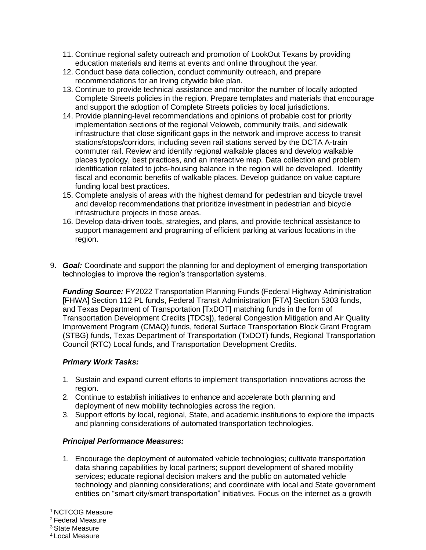- 11. Continue regional safety outreach and promotion of LookOut Texans by providing education materials and items at events and online throughout the year.
- 12. Conduct base data collection, conduct community outreach, and prepare recommendations for an Irving citywide bike plan.
- 13. Continue to provide technical assistance and monitor the number of locally adopted Complete Streets policies in the region. Prepare templates and materials that encourage and support the adoption of Complete Streets policies by local jurisdictions.
- 14. Provide planning-level recommendations and opinions of probable cost for priority implementation sections of the regional Veloweb, community trails, and sidewalk infrastructure that close significant gaps in the network and improve access to transit stations/stops/corridors, including seven rail stations served by the DCTA A-train commuter rail. Review and identify regional walkable places and develop walkable places typology, best practices, and an interactive map. Data collection and problem identification related to jobs-housing balance in the region will be developed. Identify fiscal and economic benefits of walkable places. Develop guidance on value capture funding local best practices.
- 15. Complete analysis of areas with the highest demand for pedestrian and bicycle travel and develop recommendations that prioritize investment in pedestrian and bicycle infrastructure projects in those areas.
- 16. Develop data-driven tools, strategies, and plans, and provide technical assistance to support management and programing of efficient parking at various locations in the region.
- 9. *Goal:* Coordinate and support the planning for and deployment of emerging transportation technologies to improve the region's transportation systems.

*Funding Source:* FY2022 Transportation Planning Funds (Federal Highway Administration [FHWA] Section 112 PL funds, Federal Transit Administration [FTA] Section 5303 funds, and Texas Department of Transportation [TxDOT] matching funds in the form of Transportation Development Credits [TDCs]), federal Congestion Mitigation and Air Quality Improvement Program (CMAQ) funds, federal Surface Transportation Block Grant Program (STBG) funds, Texas Department of Transportation (TxDOT) funds, Regional Transportation Council (RTC) Local funds, and Transportation Development Credits.

### *Primary Work Tasks:*

- 1. Sustain and expand current efforts to implement transportation innovations across the region.
- 2. Continue to establish initiatives to enhance and accelerate both planning and deployment of new mobility technologies across the region.
- 3. Support efforts by local, regional, State, and academic institutions to explore the impacts and planning considerations of automated transportation technologies.

### *Principal Performance Measures:*

1. Encourage the deployment of automated vehicle technologies; cultivate transportation data sharing capabilities by local partners; support development of shared mobility services; educate regional decision makers and the public on automated vehicle technology and planning considerations; and coordinate with local and State government entities on "smart city/smart transportation" initiatives. Focus on the internet as a growth

<sup>1</sup> NCTCOG Measure

<sup>2</sup> Federal Measure

<sup>3</sup> State Measure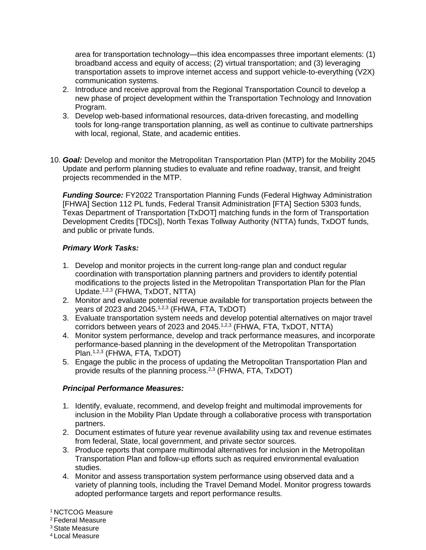area for transportation technology—this idea encompasses three important elements: (1) broadband access and equity of access; (2) virtual transportation; and (3) leveraging transportation assets to improve internet access and support vehicle-to-everything (V2X) communication systems.

- 2. Introduce and receive approval from the Regional Transportation Council to develop a new phase of project development within the Transportation Technology and Innovation Program.
- 3. Develop web-based informational resources, data-driven forecasting, and modelling tools for long-range transportation planning, as well as continue to cultivate partnerships with local, regional, State, and academic entities.
- 10. *Goal:* Develop and monitor the Metropolitan Transportation Plan (MTP) for the Mobility 2045 Update and perform planning studies to evaluate and refine roadway, transit, and freight projects recommended in the MTP.

*Funding Source:* FY2022 Transportation Planning Funds (Federal Highway Administration [FHWA] Section 112 PL funds, Federal Transit Administration [FTA] Section 5303 funds, Texas Department of Transportation [TxDOT] matching funds in the form of Transportation Development Credits [TDCs]), North Texas Tollway Authority (NTTA) funds, TxDOT funds, and public or private funds.

## *Primary Work Tasks:*

- 1. Develop and monitor projects in the current long-range plan and conduct regular coordination with transportation planning partners and providers to identify potential modifications to the projects listed in the Metropolitan Transportation Plan for the Plan Update.1,2,3 (FHWA, TxDOT, NTTA)
- 2. Monitor and evaluate potential revenue available for transportation projects between the years of 2023 and 2045. $1,2,3$  (FHWA, FTA, TxDOT)
- 3. Evaluate transportation system needs and develop potential alternatives on major travel corridors between years of 2023 and 2045.<sup>1,2,3</sup> (FHWA, FTA, TxDOT, NTTA)
- 4. Monitor system performance, develop and track performance measures, and incorporate performance-based planning in the development of the Metropolitan Transportation Plan.<sup>1,2,3</sup> (FHWA, FTA, TxDOT)
- 5. Engage the public in the process of updating the Metropolitan Transportation Plan and provide results of the planning process.<sup>2,3</sup> (FHWA, FTA, TxDOT)

### *Principal Performance Measures:*

- 1. Identify, evaluate, recommend, and develop freight and multimodal improvements for inclusion in the Mobility Plan Update through a collaborative process with transportation partners.
- 2. Document estimates of future year revenue availability using tax and revenue estimates from federal, State, local government, and private sector sources.
- 3. Produce reports that compare multimodal alternatives for inclusion in the Metropolitan Transportation Plan and follow-up efforts such as required environmental evaluation studies.
- 4. Monitor and assess transportation system performance using observed data and a variety of planning tools, including the Travel Demand Model. Monitor progress towards adopted performance targets and report performance results.

<sup>1</sup> NCTCOG Measure

<sup>2</sup> Federal Measure

<sup>3</sup> State Measure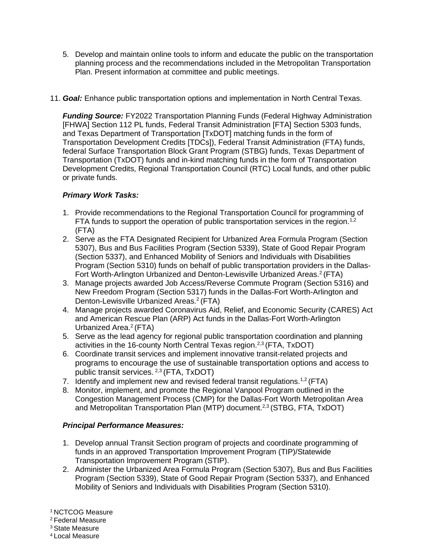- 5. Develop and maintain online tools to inform and educate the public on the transportation planning process and the recommendations included in the Metropolitan Transportation Plan. Present information at committee and public meetings.
- 11. *Goal:* Enhance public transportation options and implementation in North Central Texas.

*Funding Source:* FY2022 Transportation Planning Funds (Federal Highway Administration [FHWA] Section 112 PL funds, Federal Transit Administration [FTA] Section 5303 funds, and Texas Department of Transportation [TxDOT] matching funds in the form of Transportation Development Credits [TDCs]), Federal Transit Administration (FTA) funds, federal Surface Transportation Block Grant Program (STBG) funds, Texas Department of Transportation (TxDOT) funds and in-kind matching funds in the form of Transportation Development Credits, Regional Transportation Council (RTC) Local funds, and other public or private funds.

# *Primary Work Tasks:*

- 1. Provide recommendations to the Regional Transportation Council for programming of FTA funds to support the operation of public transportation services in the region.<sup>1,2</sup> (FTA)
- 2. Serve as the FTA Designated Recipient for Urbanized Area Formula Program (Section 5307), Bus and Bus Facilities Program (Section 5339), State of Good Repair Program (Section 5337), and Enhanced Mobility of Seniors and Individuals with Disabilities Program (Section 5310) funds on behalf of public transportation providers in the Dallas-Fort Worth-Arlington Urbanized and Denton-Lewisville Urbanized Areas.<sup>2</sup> (FTA)
- 3. Manage projects awarded Job Access/Reverse Commute Program (Section 5316) and New Freedom Program (Section 5317) funds in the Dallas-Fort Worth-Arlington and Denton-Lewisville Urbanized Areas.<sup>2</sup> (FTA)
- 4. Manage projects awarded Coronavirus Aid, Relief, and Economic Security (CARES) Act and American Rescue Plan (ARP) Act funds in the Dallas-Fort Worth-Arlington Urbanized Area.<sup>2</sup> (FTA)
- 5. Serve as the lead agency for regional public transportation coordination and planning activities in the 16-county North Central Texas region.<sup>2,3</sup> (FTA, TxDOT)
- 6. Coordinate transit services and implement innovative transit-related projects and programs to encourage the use of sustainable transportation options and access to public transit services. 2,3 (FTA, TxDOT)
- 7. Identify and implement new and revised federal transit regulations.<sup>1,2</sup> (FTA)
- 8. Monitor, implement, and promote the Regional Vanpool Program outlined in the Congestion Management Process (CMP) for the Dallas-Fort Worth Metropolitan Area and Metropolitan Transportation Plan (MTP) document.<sup>2,3</sup> (STBG, FTA, TxDOT)

# *Principal Performance Measures:*

- 1. Develop annual Transit Section program of projects and coordinate programming of funds in an approved Transportation Improvement Program (TIP)/Statewide Transportation Improvement Program (STIP).
- 2. Administer the Urbanized Area Formula Program (Section 5307), Bus and Bus Facilities Program (Section 5339), State of Good Repair Program (Section 5337), and Enhanced Mobility of Seniors and Individuals with Disabilities Program (Section 5310).

<sup>1</sup> NCTCOG Measure

<sup>2</sup> Federal Measure

<sup>3</sup> State Measure